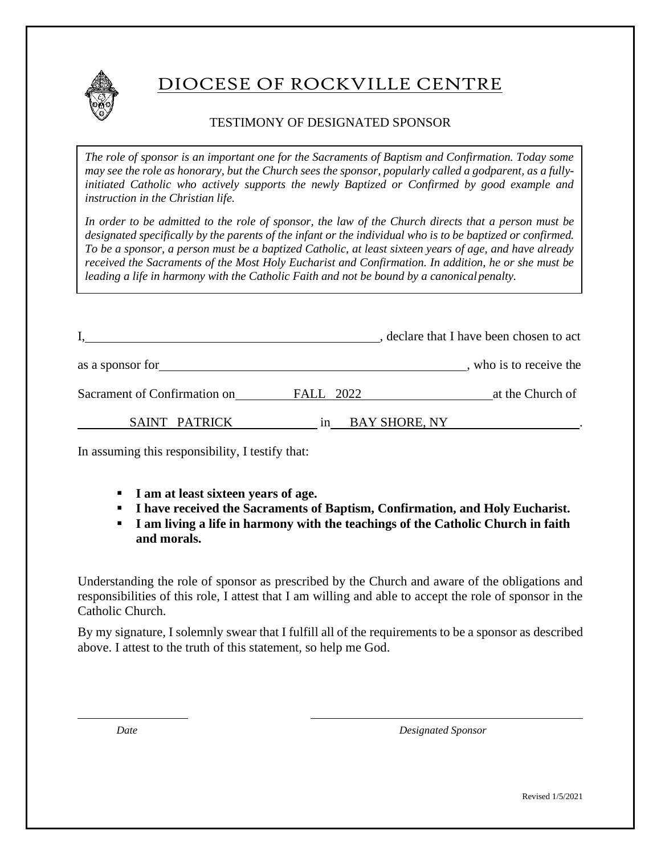

# DIOCESE OF ROCKVILLE CENTRE

### TESTIMONY OF DESIGNATED SPONSOR

*The role of sponsor is an important one for the Sacraments of Baptism and Confirmation. Today some*  may see the role as honorary, but the Church sees the sponsor, popularly called a godparent, as a fully*initiated Catholic who actively supports the newly Baptized or Confirmed by good example and instruction in the Christian life.*

*In order to be admitted to the role of sponsor, the law of the Church directs that a person must be*  designated specifically by the parents of the infant or the individual who is to be baptized or confirmed. *To be a sponsor, a person must be a baptized Catholic, at least sixteen years of age, and have already received the Sacraments of the Most Holy Eucharist and Confirmation. In addition, he or she must be leading a life in harmony with the Catholic Faith and not be bound by a canonicalpenalty.*

|                              |                            | , declare that I have been chosen to act |
|------------------------------|----------------------------|------------------------------------------|
| as a sponsor for             |                            | who is to receive the                    |
| Sacrament of Confirmation on | <b>FALL</b> 2022           | at the Church of                         |
| SAINT PATRICK                | <b>BAY SHORE, NY</b><br>1n |                                          |

In assuming this responsibility, I testify that:

- **I am at least sixteen years of age.**
- **I have received the Sacraments of Baptism, Confirmation, and Holy Eucharist.**
- **I** am living a life in harmony with the teachings of the Catholic Church in faith **and morals.**

Understanding the role of sponsor as prescribed by the Church and aware of the obligations and responsibilities of this role, I attest that I am willing and able to accept the role of sponsor in the Catholic Church.

By my signature, I solemnly swear that I fulfill all of the requirements to be a sponsor as described above. I attest to the truth of this statement, so help me God.

*Date Designated Sponsor*